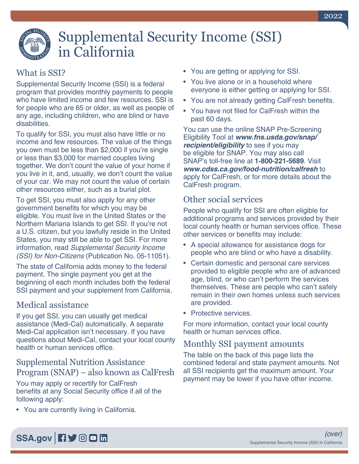# Supplemental Security Income (SSI) in California

# What is SSI?

Supplemental Security Income (SSI) is a federal program that provides monthly payments to people who have limited income and few resources. SSI is for people who are 65 or older, as well as people of any age, including children, who are blind or have disabilities.

To qualify for SSI, you must also have little or no income and few resources. The value of the things you own must be less than \$2,000 if you're single or less than \$3,000 for married couples living together. We don't count the value of your home if you live in it, and, usually, we don't count the value of your car. We may not count the value of certain other resources either, such as a burial plot.

To get SSI, you must also apply for any other government benefits for which you may be eligible. You must live in the United States or the Northern Mariana Islands to get SSI. If you're not a U.S. citizen, but you lawfully reside in the United States, you may still be able to get SSI. For more information, read *[Supplemental Security Income](https://www.ssa.gov/pubs/EN-05-11051.pdf)  (SSI) for Non-Citizens* [\(Publication No. 05-11051\).](https://www.ssa.gov/pubs/EN-05-11051.pdf)

The state of California adds money to the federal payment. The single payment you get at the beginning of each month includes both the federal SSI payment and your supplement from California.

#### Medical assistance

If you get SSI, you can usually get medical assistance (Medi-Cal) automatically. A separate Medi-Cal application isn't necessary. If you have questions about Medi-Cal, contact your local county health or human services office.

#### Supplemental Nutrition Assistance Program (SNAP) – also known as CalFresh

You may apply or recertify for CalFresh benefits at any Social Security office if all of the following apply:

• You are currently living in California.

- You are getting or applying for SSI.
- You live alone or in a household where everyone is either getting or applying for SSI.
- You are not already getting CalFresh benefits.
- You have not filed for CalFresh within the past 60 days.

You can use the online SNAP Pre-Screening Eligibility Tool at *[www.fns.usda.gov/snap/](https://www.fns.usda.gov/snap/recipient/eligibility) [recipient/eligibility](https://www.fns.usda.gov/snap/recipient/eligibility)* to see if you may be eligible for SNAP. You may also call SNAP's toll-free line at **1-800-221-5689**. Visit *[www.cdss.ca.gov/food-nutrition/calfresh](https://www.cdss.ca.gov/food-nutrition/calfresh)* to apply for CalFresh, or for more details about the CalFresh program.

### Other social services

People who qualify for SSI are often eligible for additional programs and services provided by their local county health or human services office. These other services or benefits may include:

- A special allowance for assistance dogs for people who are blind or who have a disability.
- Certain domestic and personal care services provided to eligible people who are of advanced age, blind, or who can't perform the services themselves. These are people who can't safely remain in their own homes unless such services are provided.
- Protective services.

For more information, contact your local county health or human services office.

#### Monthly SSI payment amounts

The table on the back of this page lists the combined federal and state payment amounts. Not all SSI recipients get the maximum amount. Your payment may be lower if you have other income.

# [SSA.gov](https://www.ssa.gov) **日**》 © 回 m